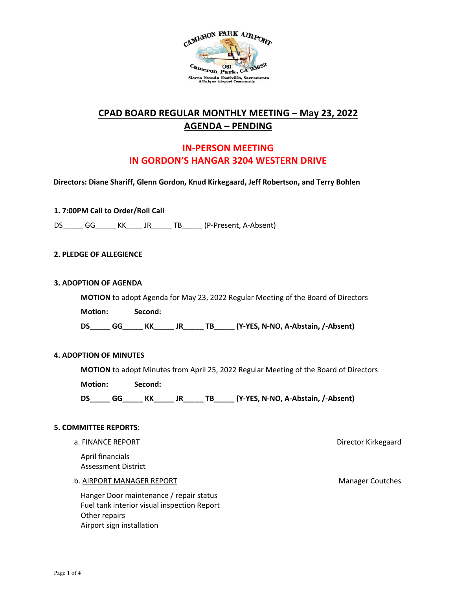

# **CPAD BOARD REGULAR MONTHLY MEETING – May 23, 2022 AGENDA – PENDING**

## **IN-PERSON MEETING IN GORDON'S HANGAR 3204 WESTERN DRIVE**

**Directors: Diane Shariff, Glenn Gordon, Knud Kirkegaard, Jeff Robertson, and Terry Bohlen**

**1. 7:00PM Call to Order/Roll Call**

DS GG KK JR TB (P-Present, A-Absent)

#### **2. PLEDGE OF ALLEGIENCE**

#### **3. ADOPTION OF AGENDA**

**MOTION** to adopt Agenda for May 23, 2022 Regular Meeting of the Board of Directors **Motion: Second: DS\_\_\_\_\_ GG\_\_\_\_\_ KK\_\_\_\_\_ JR\_\_\_\_\_ TB\_\_\_\_\_ (Y-YES, N-NO, A-Abstain, /-Absent)** 

#### **4. ADOPTION OF MINUTES**

**MOTION** to adopt Minutes from April 25, 2022 Regular Meeting of the Board of Directors **Motion: Second:** 

DS<sub>GGMK</sub>KK\_\_\_\_\_ JR\_\_\_\_\_ TB\_\_\_\_\_ (Y-YES, N-NO, A-Abstain, /-Absent)

#### **5. COMMITTEE REPORTS**:

#### a. FINANCE REPORT **EXECUTE:** The state of the state of the state of the state of the state of the state of the state of the state of the state of the state of the state of the state of the state of the state of the state o

April financials Assessment District

#### b. AIRPORT MANAGER REPORT Manager Coutches

Hanger Door maintenance / repair status Fuel tank interior visual inspection Report Other repairs Airport sign installation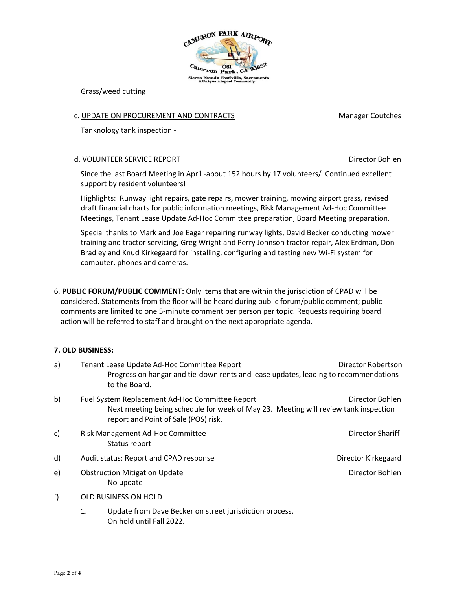

Grass/weed cutting

## c. UPDATE ON PROCUREMENT AND CONTRACTS MANAGEMENT MODEL CONTRACTS

Tanknology tank inspection -

### d. VOLUNTEER SERVICE REPORT NEED TO A SERVICE REPORT AND TO A SERVICE REPORT

Since the last Board Meeting in April -about 152 hours by 17 volunteers/ Continued excellent support by resident volunteers!

Highlights: Runway light repairs, gate repairs, mower training, mowing airport grass, revised draft financial charts for public information meetings, Risk Management Ad-Hoc Committee Meetings, Tenant Lease Update Ad-Hoc Committee preparation, Board Meeting preparation.

Special thanks to Mark and Joe Eagar repairing runway lights, David Becker conducting mower training and tractor servicing, Greg Wright and Perry Johnson tractor repair, Alex Erdman, Don Bradley and Knud Kirkegaard for installing, configuring and testing new Wi-Fi system for computer, phones and cameras.

6. **PUBLIC FORUM/PUBLIC COMMENT:** Only items that are within the jurisdiction of CPAD will be considered. Statements from the floor will be heard during public forum/public comment; public comments are limited to one 5-minute comment per person per topic. Requests requiring board action will be referred to staff and brought on the next appropriate agenda.

## **7. OLD BUSINESS:**

| a) |                                                                                                                                                                                                   | Tenant Lease Update Ad-Hoc Committee Report                                                          | Director Robertson  |
|----|---------------------------------------------------------------------------------------------------------------------------------------------------------------------------------------------------|------------------------------------------------------------------------------------------------------|---------------------|
|    |                                                                                                                                                                                                   | Progress on hangar and tie-down rents and lease updates, leading to recommendations<br>to the Board. |                     |
| b) | Fuel System Replacement Ad-Hoc Committee Report<br>Director Bohlen<br>Next meeting being schedule for week of May 23. Meeting will review tank inspection<br>report and Point of Sale (POS) risk. |                                                                                                      |                     |
| c) |                                                                                                                                                                                                   | Risk Management Ad-Hoc Committee<br>Status report                                                    | Director Shariff    |
| d) |                                                                                                                                                                                                   | Audit status: Report and CPAD response                                                               | Director Kirkegaard |
| e) |                                                                                                                                                                                                   | Director Bohlen<br><b>Obstruction Mitigation Update</b><br>No update                                 |                     |
| f) | OLD BUSINESS ON HOLD                                                                                                                                                                              |                                                                                                      |                     |
|    | 1.                                                                                                                                                                                                | Update from Dave Becker on street jurisdiction process.<br>On hold until Fall 2022.                  |                     |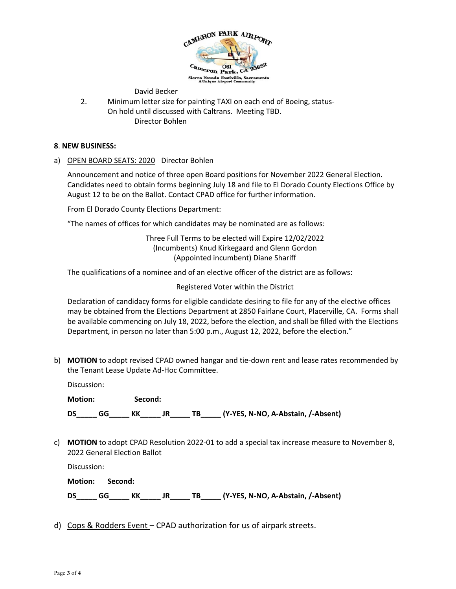

David Becker

2. Minimum letter size for painting TAXI on each end of Boeing, status-On hold until discussed with Caltrans. Meeting TBD. Director Bohlen

#### **8**. **NEW BUSINESS:**

a) OPEN BOARD SEATS: 2020 Director Bohlen

Announcement and notice of three open Board positions for November 2022 General Election. Candidates need to obtain forms beginning July 18 and file to El Dorado County Elections Office by August 12 to be on the Ballot. Contact CPAD office for further information.

From El Dorado County Elections Department:

"The names of offices for which candidates may be nominated are as follows:

Three Full Terms to be elected will Expire 12/02/2022 (Incumbents) Knud Kirkegaard and Glenn Gordon (Appointed incumbent) Diane Shariff

The qualifications of a nominee and of an elective officer of the district are as follows:

Registered Voter within the District

Declaration of candidacy forms for eligible candidate desiring to file for any of the elective offices may be obtained from the Elections Department at 2850 Fairlane Court, Placerville, CA. Forms shall be available commencing on July 18, 2022, before the election, and shall be filled with the Elections Department, in person no later than 5:00 p.m., August 12, 2022, before the election."

b) **MOTION** to adopt revised CPAD owned hangar and tie-down rent and lease rates recommended by the Tenant Lease Update Ad-Hoc Committee.

Discussion:

**Motion: Second: DS\_\_\_\_\_ GG\_\_\_\_\_ KK\_\_\_\_\_ JR\_\_\_\_\_ TB\_\_\_\_\_ (Y-YES, N-NO, A-Abstain, /-Absent)** 

c) **MOTION** to adopt CPAD Resolution 2022-01 to add a special tax increase measure to November 8, 2022 General Election Ballot

Discussion:

**Motion: Second: DS\_\_\_\_\_ GG\_\_\_\_\_ KK\_\_\_\_\_ JR\_\_\_\_\_ TB\_\_\_\_\_ (Y-YES, N-NO, A-Abstain, /-Absent)** 

d) Cops & Rodders Event – CPAD authorization for us of airpark streets.